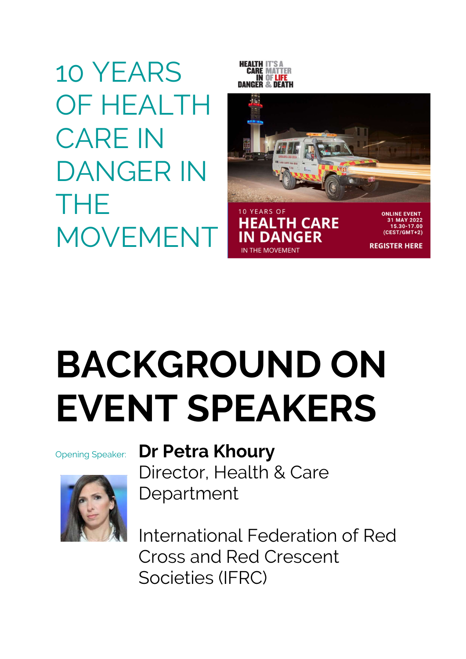10 YEARS OF HEALTH CARE IN DANGER IN THE MOVEMENT





**REGISTER HERE** 

BACKGROUND ON EVENT SPEAKERS



## Opening Speaker: Dr Petra Khoury

Director, Health & Care Department

International Federation of Red Cross and Red Crescent Societies (IFRC)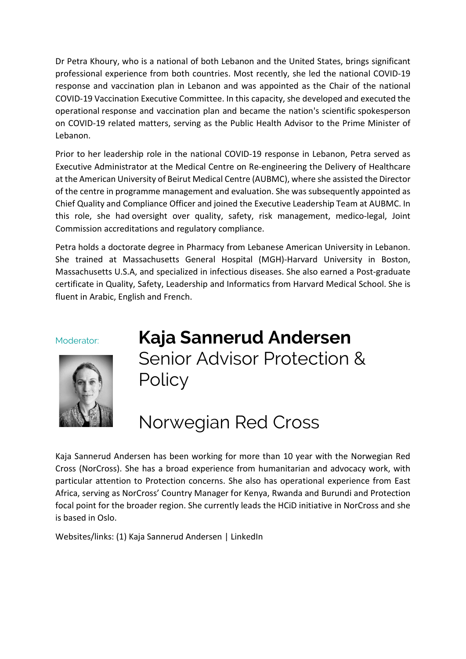Dr Petra Khoury, who is a national of both Lebanon and the United States, brings significant professional experience from both countries. Most recently, she led the national COVID-19 response and vaccination plan in Lebanon and was appointed as the Chair of the national COVID-19 Vaccination Executive Committee. In this capacity, she developed and executed the operational response and vaccination plan and became the nation's scientific spokesperson on COVID-19 related matters, serving as the Public Health Advisor to the Prime Minister of Lebanon.

Prior to her leadership role in the national COVID-19 response in Lebanon, Petra served as Executive Administrator at the Medical Centre on Re-engineering the Delivery of Healthcare at the American University of Beirut Medical Centre (AUBMC), where she assisted the Director of the centre in programme management and evaluation. She was subsequently appointed as Chief Quality and Compliance Officer and joined the Executive Leadership Team at AUBMC. In this role, she had oversight over quality, safety, risk management, medico-legal, Joint Commission accreditations and regulatory compliance.

Petra holds a doctorate degree in Pharmacy from Lebanese American University in Lebanon. She trained at Massachusetts General Hospital (MGH)-Harvard University in Boston, Massachusetts U.S.A, and specialized in infectious diseases. She also earned a Post-graduate certificate in Quality, Safety, Leadership and Informatics from Harvard Medical School. She is fluent in Arabic, English and French.



Moderator: Kaja Sannerud Andersen Senior Advisor Protection & **Policy** 

# Norwegian Red Cross

Kaja Sannerud Andersen has been working for more than 10 year with the Norwegian Red Cross (NorCross). She has a broad experience from humanitarian and advocacy work, with particular attention to Protection concerns. She also has operational experience from East Africa, serving as NorCross' Country Manager for Kenya, Rwanda and Burundi and Protection focal point for the broader region. She currently leads the HCiD initiative in NorCross and she is based in Oslo.

Websites/links: (1) Kaja Sannerud Andersen | LinkedIn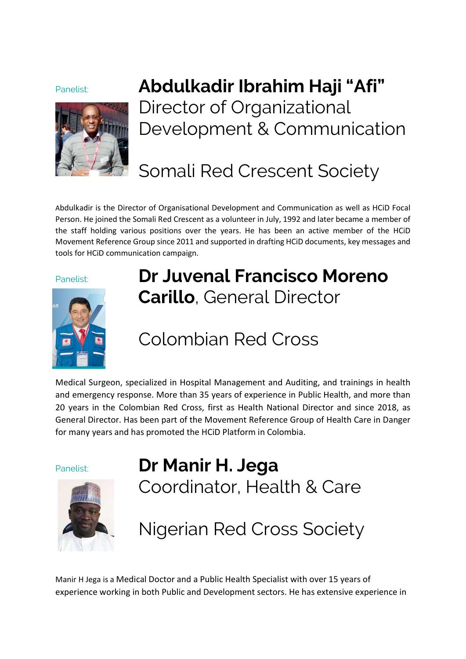

## Panelist: **Abdulkadir Ibrahim Haji "Afi"** Director of Organizational Development & Communication

## Somali Red Crescent Society

Abdulkadir is the Director of Organisational Development and Communication as well as HCiD Focal Person. He joined the Somali Red Crescent as a volunteer in July, 1992 and later became a member of the staff holding various positions over the years. He has been an active member of the HCiD Movement Reference Group since 2011 and supported in drafting HCiD documents, key messages and tools for HCiD communication campaign.



## Panelist: **Dr Juvenal Francisco Moreno** Carillo, General Director

## Colombian Red Cross

Medical Surgeon, specialized in Hospital Management and Auditing, and trainings in health and emergency response. More than 35 years of experience in Public Health, and more than 20 years in the Colombian Red Cross, first as Health National Director and since 2018, as General Director. Has been part of the Movement Reference Group of Health Care in Danger for many years and has promoted the HCiD Platform in Colombia.



Panelist: **Dr Manir H. Jega** Coordinator, Health & Care

Nigerian Red Cross Society

Manir H Jega is a Medical Doctor and a Public Health Specialist with over 15 years of experience working in both Public and Development sectors. He has extensive experience in